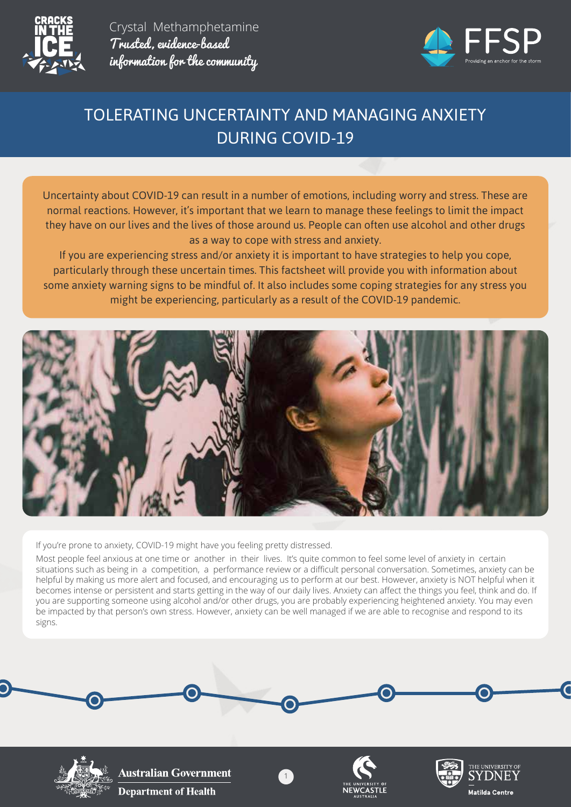



# TOLERATING UNCERTAINTY AND MANAGING ANXIETY DURING COVID-19

Uncertainty about COVID-19 can result in a number of emotions, including worry and stress. These are normal reactions. However, it's important that we learn to manage these feelings to limit the impact they have on our lives and the lives of those around us. People can often use alcohol and other drugs as a way to cope with stress and anxiety.

If you are experiencing stress and/or anxiety it is important to have strategies to help you cope, particularly through these uncertain times. This factsheet will provide you with information about some anxiety warning signs to be mindful of. It also includes some coping strategies for any stress you might be experiencing, particularly as a result of the COVID-19 pandemic.



If you're prone to anxiety, COVID-19 might have you feeling pretty distressed.

Most people feel anxious at one time or another in their lives. It's quite common to feel some level of anxiety in certain situations such as being in a competition, a performance review or a difficult personal conversation. Sometimes, anxiety can be helpful by making us more alert and focused, and encouraging us to perform at our best. However, anxiety is NOT helpful when it becomes intense or persistent and starts getting in the way of our daily lives. Anxiety can affect the things you feel, think and do. If you are supporting someone using alcohol and/or other drugs, you are probably experiencing heightened anxiety. You may even be impacted by that person's own stress. However, anxiety can be well managed if we are able to recognise and respond to its signs.

1



**Australian Government Department of Health** 



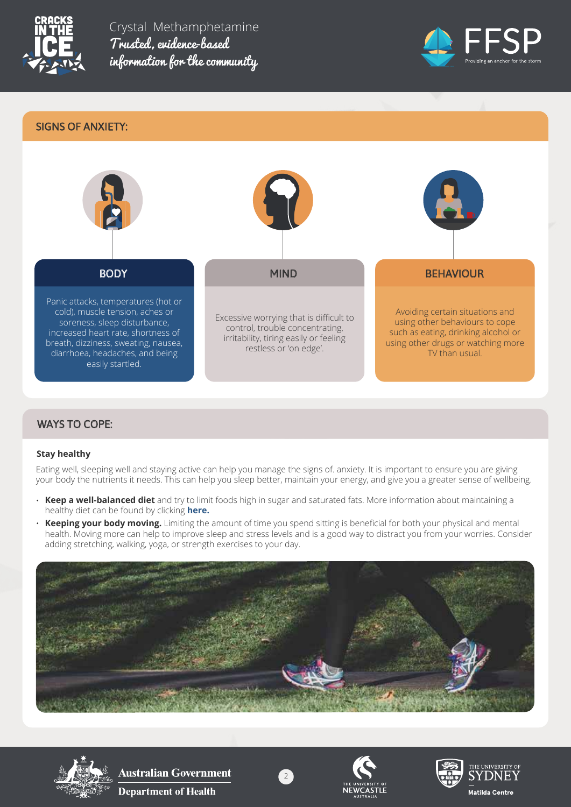



## SIGNS OF ANXIETY:



# WAYS TO COPE:

### **Stay healthy**

Eating well, sleeping well and staying active can help you manage the signs of. anxiety. It is important to ensure you are giving your body the nutrients it needs. This can help you sleep better, maintain your energy, and give you a greater sense of wellbeing.

- **Keep a well-balanced diet** and try to limit foods high in sugar and saturated fats. More information about maintaining a healthy diet can be found by clicking **here.**
- **Keeping your body moving.** Limiting the amount of time you spend sitting is beneficial for both your physical and mental health. Moving more can help to improve sleep and stress levels and is a good way to distract you from your worries. Consider adding stretching, walking, yoga, or strength exercises to your day.





**Australian Government Department of Health** 



2



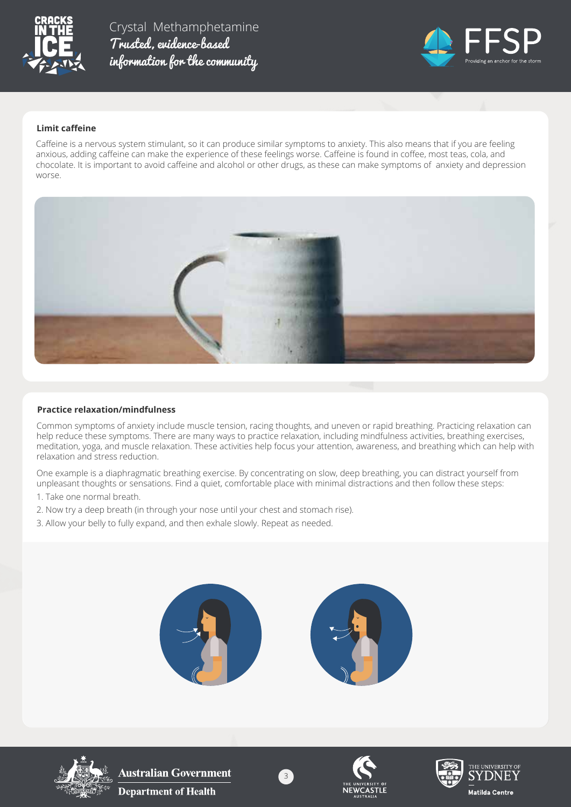



#### **Limit caffeine**

Caffeine is a nervous system stimulant, so it can produce similar symptoms to anxiety. This also means that if you are feeling anxious, adding caffeine can make the experience of these feelings worse. Caffeine is found in coffee, most teas, cola, and chocolate. It is important to avoid caffeine and alcohol or other drugs, as these can make symptoms of anxiety and depression worse.



#### **Practice relaxation/mindfulness**

Common symptoms of anxiety include muscle tension, racing thoughts, and uneven or rapid breathing. Practicing relaxation can help reduce these symptoms. There are many ways to practice relaxation, including mindfulness activities, breathing exercises, meditation, yoga, and muscle relaxation. These activities help focus your attention, awareness, and breathing which can help with relaxation and stress reduction.

One example is a diaphragmatic breathing exercise. By concentrating on slow, deep breathing, you can distract yourself from unpleasant thoughts or sensations. Find a quiet, comfortable place with minimal distractions and then follow these steps:

- 1. Take one normal breath.
- 2. Now try a deep breath (in through your nose until your chest and stomach rise).
- 3. Allow your belly to fully expand, and then exhale slowly. Repeat as needed.





**Australian Government Department of Health** 



3